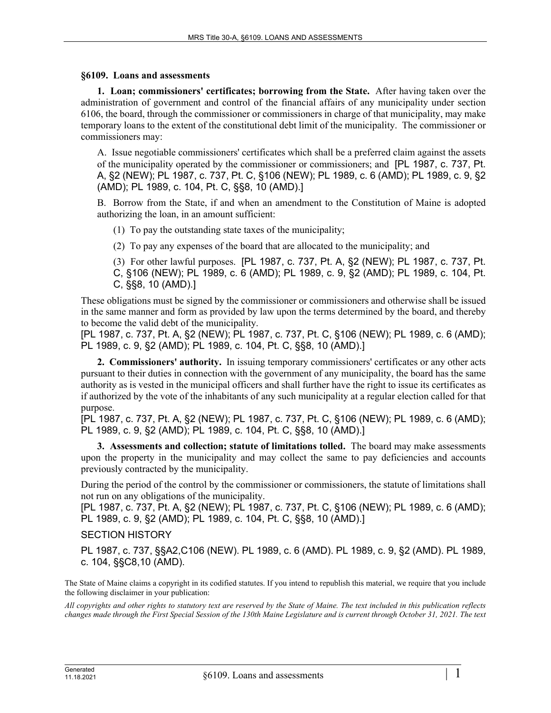## **§6109. Loans and assessments**

**1. Loan; commissioners' certificates; borrowing from the State.** After having taken over the administration of government and control of the financial affairs of any municipality under section 6106, the board, through the commissioner or commissioners in charge of that municipality, may make temporary loans to the extent of the constitutional debt limit of the municipality. The commissioner or commissioners may:

A. Issue negotiable commissioners' certificates which shall be a preferred claim against the assets of the municipality operated by the commissioner or commissioners; and [PL 1987, c. 737, Pt. A, §2 (NEW); PL 1987, c. 737, Pt. C, §106 (NEW); PL 1989, c. 6 (AMD); PL 1989, c. 9, §2 (AMD); PL 1989, c. 104, Pt. C, §§8, 10 (AMD).]

B. Borrow from the State, if and when an amendment to the Constitution of Maine is adopted authorizing the loan, in an amount sufficient:

(1) To pay the outstanding state taxes of the municipality;

(2) To pay any expenses of the board that are allocated to the municipality; and

(3) For other lawful purposes. [PL 1987, c. 737, Pt. A, §2 (NEW); PL 1987, c. 737, Pt. C, §106 (NEW); PL 1989, c. 6 (AMD); PL 1989, c. 9, §2 (AMD); PL 1989, c. 104, Pt. C, §§8, 10 (AMD).]

These obligations must be signed by the commissioner or commissioners and otherwise shall be issued in the same manner and form as provided by law upon the terms determined by the board, and thereby to become the valid debt of the municipality.

[PL 1987, c. 737, Pt. A, §2 (NEW); PL 1987, c. 737, Pt. C, §106 (NEW); PL 1989, c. 6 (AMD); PL 1989, c. 9, §2 (AMD); PL 1989, c. 104, Pt. C, §§8, 10 (AMD).]

**2. Commissioners' authority.** In issuing temporary commissioners' certificates or any other acts pursuant to their duties in connection with the government of any municipality, the board has the same authority as is vested in the municipal officers and shall further have the right to issue its certificates as if authorized by the vote of the inhabitants of any such municipality at a regular election called for that purpose.

[PL 1987, c. 737, Pt. A, §2 (NEW); PL 1987, c. 737, Pt. C, §106 (NEW); PL 1989, c. 6 (AMD); PL 1989, c. 9, §2 (AMD); PL 1989, c. 104, Pt. C, §§8, 10 (AMD).]

**3. Assessments and collection; statute of limitations tolled.** The board may make assessments upon the property in the municipality and may collect the same to pay deficiencies and accounts previously contracted by the municipality.

During the period of the control by the commissioner or commissioners, the statute of limitations shall not run on any obligations of the municipality.

[PL 1987, c. 737, Pt. A, §2 (NEW); PL 1987, c. 737, Pt. C, §106 (NEW); PL 1989, c. 6 (AMD); PL 1989, c. 9, §2 (AMD); PL 1989, c. 104, Pt. C, §§8, 10 (AMD).]

SECTION HISTORY

PL 1987, c. 737, §§A2,C106 (NEW). PL 1989, c. 6 (AMD). PL 1989, c. 9, §2 (AMD). PL 1989, c. 104, §§C8,10 (AMD).

The State of Maine claims a copyright in its codified statutes. If you intend to republish this material, we require that you include the following disclaimer in your publication:

*All copyrights and other rights to statutory text are reserved by the State of Maine. The text included in this publication reflects changes made through the First Special Session of the 130th Maine Legislature and is current through October 31, 2021. The text*